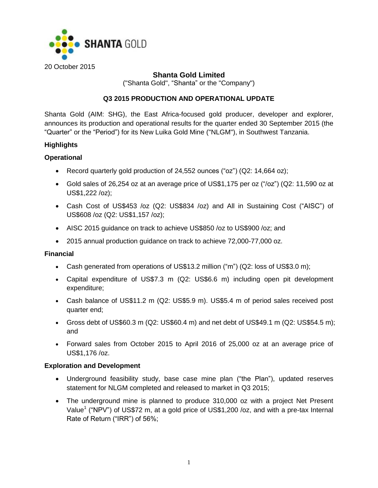

# **Shanta Gold Limited**

("Shanta Gold", "Shanta" or the "Company")

# **Q3 2015 PRODUCTION AND OPERATIONAL UPDATE**

Shanta Gold (AIM: SHG), the East Africa-focused gold producer, developer and explorer, announces its production and operational results for the quarter ended 30 September 2015 (the "Quarter" or the "Period") for its New Luika Gold Mine ("NLGM"), in Southwest Tanzania.

## **Highlights**

# **Operational**

- Record quarterly gold production of 24,552 ounces ("oz") (Q2: 14,664 oz);
- Gold sales of 26,254 oz at an average price of US\$1,175 per oz ("/oz") (Q2: 11,590 oz at US\$1,222 /oz);
- Cash Cost of US\$453 /oz (Q2: US\$834 /oz) and All in Sustaining Cost ("AISC") of US\$608 /oz (Q2: US\$1,157 /oz);
- AISC 2015 guidance on track to achieve US\$850 /oz to US\$900 /oz; and
- 2015 annual production guidance on track to achieve 72,000-77,000 oz.

## **Financial**

- Cash generated from operations of US\$13.2 million ("m") (Q2: loss of US\$3.0 m);
- Capital expenditure of US\$7.3 m (Q2: US\$6.6 m) including open pit development expenditure;
- Cash balance of US\$11.2 m (Q2: US\$5.9 m). US\$5.4 m of period sales received post quarter end;
- Gross debt of US\$60.3 m (Q2: US\$60.4 m) and net debt of US\$49.1 m (Q2: US\$54.5 m); and
- Forward sales from October 2015 to April 2016 of 25,000 oz at an average price of US\$1,176 /oz.

## **Exploration and Development**

- Underground feasibility study, base case mine plan ("the Plan"), updated reserves statement for NLGM completed and released to market in Q3 2015;
- The underground mine is planned to produce 310,000 oz with a project Net Present Value<sup>1</sup> ("NPV") of US\$72 m, at a gold price of US\$1,200 /oz, and with a pre-tax Internal Rate of Return ("IRR") of 56%;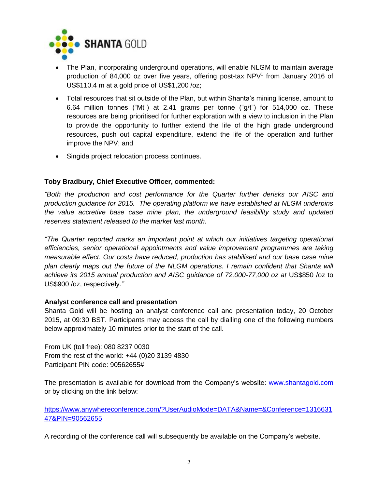

- The Plan, incorporating underground operations, will enable NLGM to maintain average production of 84,000 oz over five years, offering post-tax  $NPV<sup>1</sup>$  from January 2016 of US\$110.4 m at a gold price of US\$1,200 /oz;
- Total resources that sit outside of the Plan, but within Shanta's mining license, amount to 6.64 million tonnes ("Mt") at 2.41 grams per tonne ("g/t") for 514,000 oz. These resources are being prioritised for further exploration with a view to inclusion in the Plan to provide the opportunity to further extend the life of the high grade underground resources, push out capital expenditure, extend the life of the operation and further improve the NPV; and
- Singida project relocation process continues.

# **Toby Bradbury, Chief Executive Officer, commented:**

*"Both the production and cost performance for the Quarter further derisks our AISC and production guidance for 2015. The operating platform we have established at NLGM underpins the value accretive base case mine plan, the underground feasibility study and updated reserves statement released to the market last month.*

*"The Quarter reported marks an important point at which our initiatives targeting operational efficiencies, senior operational appointments and value improvement programmes are taking measurable effect. Our costs have reduced, production has stabilised and our base case mine*  plan clearly maps out the future of the NLGM operations. I remain confident that Shanta will *achieve its 2015 annual production and AISC guidance of 72,000-77,000 oz at* US\$850 /oz to US\$900 /oz, respectively.*"*

## **Analyst conference call and presentation**

Shanta Gold will be hosting an analyst conference call and presentation today, 20 October 2015, at 09:30 BST. Participants may access the call by dialling one of the following numbers below approximately 10 minutes prior to the start of the call.

From UK (toll free): 080 8237 0030 From the rest of the world: +44 (0)20 3139 4830 Participant PIN code: 90562655#

The presentation is available for download from the Company's website: [www.shantagold.com](http://www.shantagold.com/) or by clicking on the link below:

[https://www.anywhereconference.com/?UserAudioMode=DATA&Name=&Conference=1316631](https://www.anywhereconference.com/?UserAudioMode=DATA&Name=&Conference=131663147&PIN=90562655) [47&PIN=90562655](https://www.anywhereconference.com/?UserAudioMode=DATA&Name=&Conference=131663147&PIN=90562655)

A recording of the conference call will subsequently be available on the Company's website.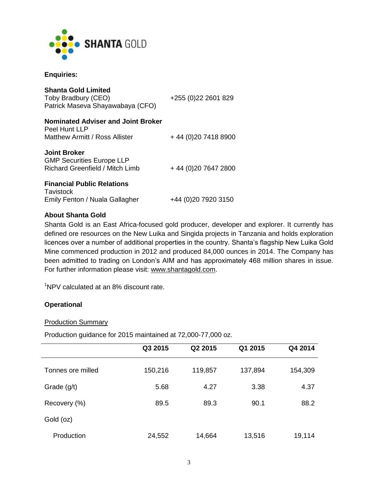

#### **Enquiries:**

| <b>Shanta Gold Limited</b><br>Toby Bradbury (CEO)<br>Patrick Maseva Shayawabaya (CFO)      | +255 (0) 22 2601 829  |
|--------------------------------------------------------------------------------------------|-----------------------|
| Nominated Adviser and Joint Broker                                                         |                       |
| Peel Hunt LLP<br>Matthew Armitt / Ross Allister                                            | +44 (0) 20 7418 8900  |
| <b>Joint Broker</b><br><b>GMP Securities Europe LLP</b><br>Richard Greenfield / Mitch Limb | +44 (0) 20 7647 2800  |
| <b>Financial Public Relations</b><br>Tavistock<br>Emily Fenton / Nuala Gallagher           | +44 (0) 20 79 20 3150 |

## **About Shanta Gold**

Shanta Gold is an East Africa-focused gold producer, developer and explorer. It currently has defined ore resources on the New Luika and Singida projects in Tanzania and holds exploration licences over a number of additional properties in the country. Shanta's flagship New Luika Gold Mine commenced production in 2012 and produced 84,000 ounces in 2014. The Company has been admitted to trading on London's AIM and has approximately 468 million shares in issue. For further information please visit: [www.shantagold.com.](http://www.shantagold.com/)

<sup>1</sup>NPV calculated at an 8% discount rate.

#### **Operational**

#### Production Summary

Production guidance for 2015 maintained at 72,000-77,000 oz.

|                   | Q3 2015 | Q2 2015 | Q1 2015 | Q4 2014 |
|-------------------|---------|---------|---------|---------|
| Tonnes ore milled | 150,216 | 119,857 | 137,894 | 154,309 |
| Grade $(g/t)$     | 5.68    | 4.27    | 3.38    | 4.37    |
| Recovery (%)      | 89.5    | 89.3    | 90.1    | 88.2    |
| Gold (oz)         |         |         |         |         |
| Production        | 24,552  | 14,664  | 13,516  | 19,114  |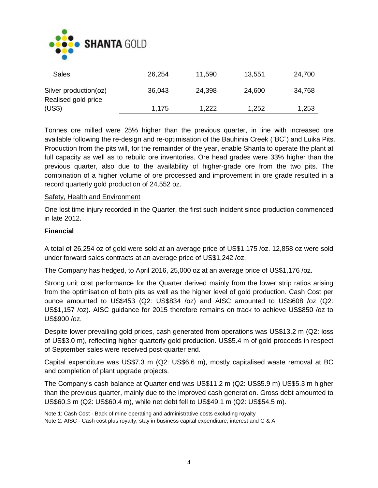

| Sales                                        | 26,254 | 11,590 | 13,551 | 24,700 |
|----------------------------------------------|--------|--------|--------|--------|
| Silver production(oz)<br>Realised gold price | 36,043 | 24,398 | 24,600 | 34,768 |
| (US\$)                                       | 1,175  | 1,222  | 1,252  | 1,253  |

Tonnes ore milled were 25% higher than the previous quarter, in line with increased ore available following the re-design and re-optimisation of the Bauhinia Creek ("BC") and Luika Pits. Production from the pits will, for the remainder of the year, enable Shanta to operate the plant at full capacity as well as to rebuild ore inventories. Ore head grades were 33% higher than the previous quarter, also due to the availability of higher-grade ore from the two pits. The combination of a higher volume of ore processed and improvement in ore grade resulted in a record quarterly gold production of 24,552 oz.

#### Safety, Health and Environment

One lost time injury recorded in the Quarter, the first such incident since production commenced in late 2012.

#### **Financial**

A total of 26,254 oz of gold were sold at an average price of US\$1,175 /oz. 12,858 oz were sold under forward sales contracts at an average price of US\$1,242 /oz.

The Company has hedged, to April 2016, 25,000 oz at an average price of US\$1,176 /oz.

Strong unit cost performance for the Quarter derived mainly from the lower strip ratios arising from the optimisation of both pits as well as the higher level of gold production. Cash Cost per ounce amounted to US\$453 (Q2: US\$834 /oz) and AISC amounted to US\$608 /oz (Q2: US\$1,157 /oz). AISC guidance for 2015 therefore remains on track to achieve US\$850 /oz to US\$900 /oz.

Despite lower prevailing gold prices, cash generated from operations was US\$13.2 m (Q2: loss of US\$3.0 m), reflecting higher quarterly gold production. US\$5.4 m of gold proceeds in respect of September sales were received post-quarter end.

Capital expenditure was US\$7.3 m (Q2: US\$6.6 m), mostly capitalised waste removal at BC and completion of plant upgrade projects.

The Company's cash balance at Quarter end was US\$11.2 m (Q2: US\$5.9 m) US\$5.3 m higher than the previous quarter, mainly due to the improved cash generation. Gross debt amounted to US\$60.3 m (Q2: US\$60.4 m), while net debt fell to US\$49.1 m (Q2: US\$54.5 m).

Note 1: Cash Cost - Back of mine operating and administrative costs excluding royalty Note 2: AISC - Cash cost plus royalty, stay in business capital expenditure, interest and G & A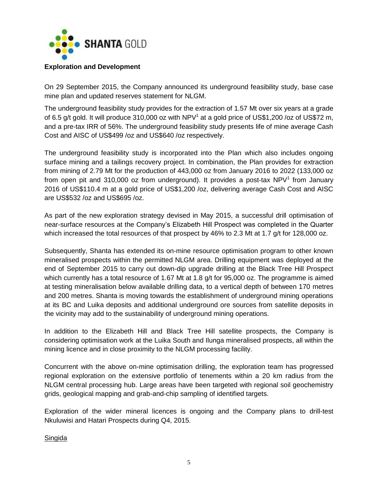

#### **Exploration and Development**

On 29 September 2015, the Company announced its underground feasibility study, base case mine plan and updated reserves statement for NLGM.

The underground feasibility study provides for the extraction of 1.57 Mt over six years at a grade of 6.5 g/t gold. It will produce 310,000 oz with NPV<sup>1</sup> at a gold price of US\$1,200 /oz of US\$72 m, and a pre-tax IRR of 56%. The underground feasibility study presents life of mine average Cash Cost and AISC of US\$499 /oz and US\$640 /oz respectively.

The underground feasibility study is incorporated into the Plan which also includes ongoing surface mining and a tailings recovery project. In combination, the Plan provides for extraction from mining of 2.79 Mt for the production of 443,000 oz from January 2016 to 2022 (133,000 oz from open pit and 310,000 oz from underground). It provides a post-tax  $NPV<sup>1</sup>$  from January 2016 of US\$110.4 m at a gold price of US\$1,200 /oz, delivering average Cash Cost and AISC are US\$532 /oz and US\$695 /oz.

As part of the new exploration strategy devised in May 2015, a successful drill optimisation of near-surface resources at the Company's Elizabeth Hill Prospect was completed in the Quarter which increased the total resources of that prospect by 46% to 2.3 Mt at 1.7 g/t for 128,000 oz.

Subsequently, Shanta has extended its on-mine resource optimisation program to other known mineralised prospects within the permitted NLGM area. Drilling equipment was deployed at the end of September 2015 to carry out down-dip upgrade drilling at the Black Tree Hill Prospect which currently has a total resource of 1.67 Mt at 1.8 g/t for 95,000 oz. The programme is aimed at testing mineralisation below available drilling data, to a vertical depth of between 170 metres and 200 metres. Shanta is moving towards the establishment of underground mining operations at its BC and Luika deposits and additional underground ore sources from satellite deposits in the vicinity may add to the sustainability of underground mining operations.

In addition to the Elizabeth Hill and Black Tree Hill satellite prospects, the Company is considering optimisation work at the Luika South and Ilunga mineralised prospects, all within the mining licence and in close proximity to the NLGM processing facility.

Concurrent with the above on-mine optimisation drilling, the exploration team has progressed regional exploration on the extensive portfolio of tenements within a 20 km radius from the NLGM central processing hub. Large areas have been targeted with regional soil geochemistry grids, geological mapping and grab-and-chip sampling of identified targets.

Exploration of the wider mineral licences is ongoing and the Company plans to drill-test Nkuluwisi and Hatari Prospects during Q4, 2015.

Singida